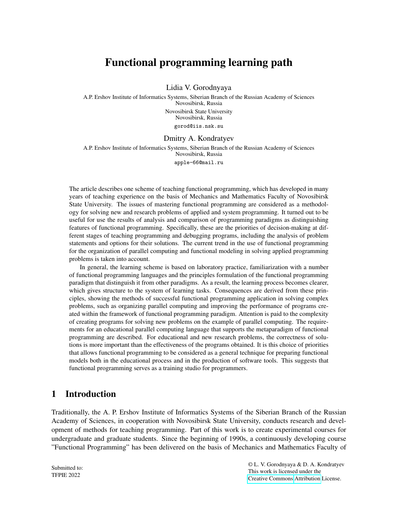# Functional programming learning path

Lidia V. Gorodnyaya

A.P. Ershov Institute of Informatics Systems, Siberian Branch of the Russian Academy of Sciences Novosibirsk, Russia Novosibirsk State University Novosibirsk, Russia gorod@iis.nsk.su

#### Dmitry A. Kondratyev

A.P. Ershov Institute of Informatics Systems, Siberian Branch of the Russian Academy of Sciences Novosibirsk, Russia apple-66@mail.ru

The article describes one scheme of teaching functional programming, which has developed in many years of teaching experience on the basis of Mechanics and Mathematics Faculty of Novosibirsk State University. The issues of mastering functional programming are considered as a methodology for solving new and research problems of applied and system programming. It turned out to be useful for use the results of analysis and comparison of programming paradigms as distinguishing features of functional programming. Specifically, these are the priorities of decision-making at different stages of teaching programming and debugging programs, including the analysis of problem statements and options for their solutions. The current trend in the use of functional programming for the organization of parallel computing and functional modeling in solving applied programming problems is taken into account.

In general, the learning scheme is based on laboratory practice, familiarization with a number of functional programming languages and the principles formulation of the functional programming paradigm that distinguish it from other paradigms. As a result, the learning process becomes clearer, which gives structure to the system of learning tasks. Consequences are derived from these principles, showing the methods of successful functional programming application in solving complex problems, such as organizing parallel computing and improving the performance of programs created within the framework of functional programming paradigm. Attention is paid to the complexity of creating programs for solving new problems on the example of parallel computing. The requirements for an educational parallel computing language that supports the metaparadigm of functional programming are described. For educational and new research problems, the correctness of solutions is more important than the effectiveness of the programs obtained. It is this choice of priorities that allows functional programming to be considered as a general technique for preparing functional models both in the educational process and in the production of software tools. This suggests that functional programming serves as a training studio for programmers.

## 1 Introduction

Traditionally, the A. P. Ershov Institute of Informatics Systems of the Siberian Branch of the Russian Academy of Sciences, in cooperation with Novosibirsk State University, conducts research and development of methods for teaching programming. Part of this work is to create experimental courses for undergraduate and graduate students. Since the beginning of 1990s, a continuously developing course "Functional Programming" has been delivered on the basis of Mechanics and Mathematics Faculty of

Submitted to: TFPIE 2022

© L. V. Gorodnyaya & D. A. Kondratyev This work is licensed under the [Creative Commons](https://creativecommons.org) [Attribution](https://creativecommons.org/licenses/by/4.0/) License.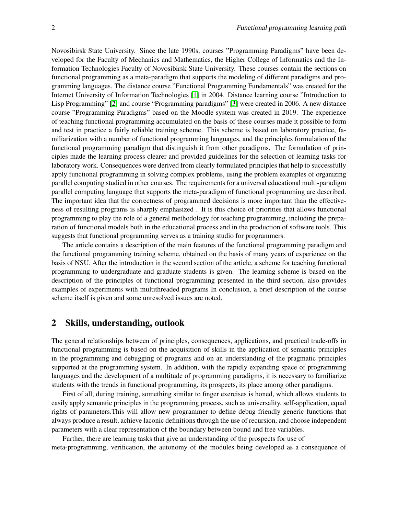Novosibirsk State University. Since the late 1990s, courses "Programming Paradigms" have been developed for the Faculty of Mechanics and Mathematics, the Higher College of Informatics and the Information Technologies Faculty of Novosibirsk State University. These courses contain the sections on functional programming as a meta-paradigm that supports the modeling of different paradigms and programming languages. The distance course "Functional Programming Fundamentals" was created for the Internet University of Information Technologies [\[1\]](#page-13-0) in 2004. Distance learning course "Introduction to Lisp Programming" [\[2\]](#page-13-1) and course "Programming paradigms" [\[3\]](#page-13-2) were created in 2006. A new distance course "Programming Paradigms" based on the Moodle system was created in 2019. The experience of teaching functional programming accumulated on the basis of these courses made it possible to form and test in practice a fairly reliable training scheme. This scheme is based on laboratory practice, familiarization with a number of functional programming languages, and the principles formulation of the functional programming paradigm that distinguish it from other paradigms. The formulation of principles made the learning process clearer and provided guidelines for the selection of learning tasks for laboratory work. Consequences were derived from clearly formulated principles that help to successfully apply functional programming in solving complex problems, using the problem examples of organizing parallel computing studied in other courses. The requirements for a universal educational multi-paradigm parallel computing language that supports the meta-paradigm of functional programming are described. The important idea that the correctness of programmed decisions is more important than the effectiveness of resulting programs is sharply emphasized . It is this choice of priorities that allows functional programming to play the role of a general methodology for teaching programming, including the preparation of functional models both in the educational process and in the production of software tools. This suggests that functional programming serves as a training studio for programmers.

The article contains a description of the main features of the functional programming paradigm and the functional programming training scheme, obtained on the basis of many years of experience on the basis of NSU. After the introduction in the second section of the article, a scheme for teaching functional programming to undergraduate and graduate students is given. The learning scheme is based on the description of the principles of functional programming presented in the third section, also provides examples of experiments with multithreaded programs In conclusion, a brief description of the course scheme itself is given and some unresolved issues are noted.

# 2 Skills, understanding, outlook

The general relationships between of principles, consequences, applications, and practical trade-offs in functional programming is based on the acquisition of skills in the application of semantic principles in the programming and debugging of programs and on an understanding of the pragmatic principles supported at the programming system. In addition, with the rapidly expanding space of programming languages and the development of a multitude of programming paradigms, it is necessary to familiarize students with the trends in functional programming, its prospects, its place among other paradigms.

First of all, during training, something similar to finger exercises is honed, which allows students to easily apply semantic principles in the programming process, such as universality, self-application, equal rights of parameters.This will allow new programmer to define debug-friendly generic functions that always produce a result, achieve laconic definitions through the use of recursion, and choose independent parameters with a clear representation of the boundary between bound and free variables.

Further, there are learning tasks that give an understanding of the prospects for use of meta-programming, verification, the autonomy of the modules being developed as a consequence of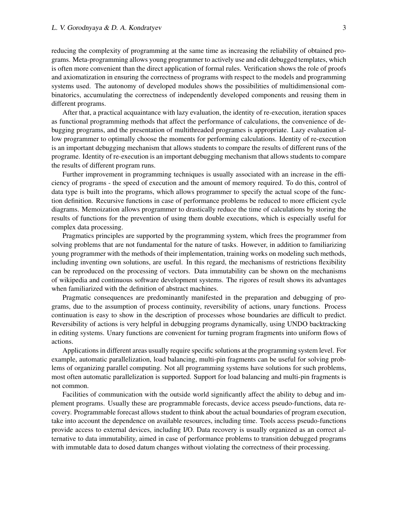reducing the complexity of programming at the same time as increasing the reliability of obtained programs. Meta-programming allows young programmer to actively use and edit debugged templates, which is often more convenient than the direct application of formal rules. Verification shows the role of proofs and axiomatization in ensuring the correctness of programs with respect to the models and programming systems used. The autonomy of developed modules shows the possibilities of multidimensional combinatorics, accumulating the correctness of independently developed components and reusing them in different programs.

After that, a practical acquaintance with lazy evaluation, the identity of re-execution, iteration spaces as functional programming methods that affect the performance of calculations, the convenience of debugging programs, and the presentation of multithreaded programes is appropriate. Lazy evaluation allow programmer to optimally choose the moments for performing calculations. Identity of re-execution is an important debugging mechanism that allows students to compare the results of different runs of the programe. Identity of re-execution is an important debugging mechanism that allows students to compare the results of different program runs.

Further improvement in programming techniques is usually associated with an increase in the efficiency of programs - the speed of execution and the amount of memory required. To do this, control of data type is built into the programs, which allows programmer to specify the actual scope of the function definition. Recursive functions in case of performance problems be reduced to more efficient cycle diagrams. Memoization allows programmer to drastically reduce the time of calculations by storing the results of functions for the prevention of using them double executions, which is especially useful for complex data processing.

Pragmatics principles are supported by the programming system, which frees the programmer from solving problems that are not fundamental for the nature of tasks. However, in addition to familiarizing young programmer with the methods of their implementation, training works on modeling such methods, including inventing own solutions, are useful. In this regard, the mechanisms of restrictions flexibility can be reproduced on the processing of vectors. Data immutability can be shown on the mechanisms of wikipedia and continuous software development systems. The rigores of result shows its advantages when familiarized with the definition of abstract machines.

Pragmatic consequences are predominantly manifested in the preparation and debugging of programs, due to the assumption of process continuity, reversibility of actions, unary functions. Process continuation is easy to show in the description of processes whose boundaries are difficult to predict. Reversibility of actions is very helpful in debugging programs dynamically, using UNDO backtracking in editing systems. Unary functions are convenient for turning program fragments into uniform flows of actions.

Applications in different areas usually require specific solutions at the programming system level. For example, automatic parallelization, load balancing, multi-pin fragments can be useful for solving problems of organizing parallel computing. Not all programming systems have solutions for such problems, most often automatic parallelization is supported. Support for load balancing and multi-pin fragments is not common.

Facilities of communication with the outside world significantly affect the ability to debug and implement programs. Usually these are programmable forecasts, device access pseudo-functions, data recovery. Programmable forecast allows student to think about the actual boundaries of program execution, take into account the dependence on available resources, including time. Tools access pseudo-functions provide access to external devices, including I/O. Data recovery is usually organized as an correct alternative to data immutability, aimed in case of performance problems to transition debugged programs with immutable data to dosed datum changes without violating the correctness of their processing.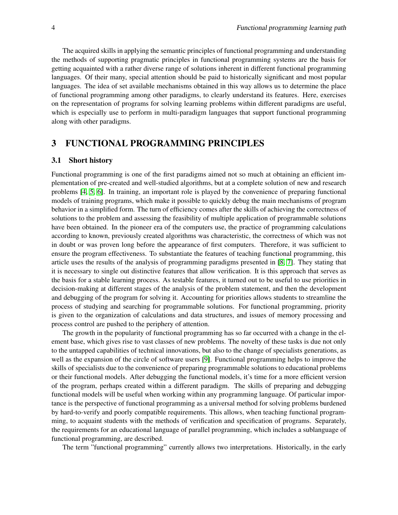The acquired skills in applying the semantic principles of functional programming and understanding the methods of supporting pragmatic principles in functional programming systems are the basis for getting acquainted with a rather diverse range of solutions inherent in different functional programming languages. Of their many, special attention should be paid to historically significant and most popular languages. The idea of set available mechanisms obtained in this way allows us to determine the place of functional programming among other paradigms, to clearly understand its features. Here, exercises on the representation of programs for solving learning problems within different paradigms are useful, which is especially use to perform in multi-paradigm languages that support functional programming along with other paradigms.

# 3 FUNCTIONAL PROGRAMMING PRINCIPLES

#### 3.1 Short history

Functional programming is one of the first paradigms aimed not so much at obtaining an efficient implementation of pre-created and well-studied algorithms, but at a complete solution of new and research problems [\[4,](#page-13-3) [5,](#page-13-4) [6\]](#page-13-5). In training, an important role is played by the convenience of preparing functional models of training programs, which make it possible to quickly debug the main mechanisms of program behavior in a simplified form. The turn of efficiency comes after the skills of achieving the correctness of solutions to the problem and assessing the feasibility of multiple application of programmable solutions have been obtained. In the pioneer era of the computers use, the practice of programming calculations according to known, previously created algorithms was characteristic, the correctness of which was not in doubt or was proven long before the appearance of first computers. Therefore, it was sufficient to ensure the program effectiveness. To substantiate the features of teaching functional programming, this article uses the results of the analysis of programming paradigms presented in [\[8,](#page-14-0) [7\]](#page-13-6). They stating that it is necessary to single out distinctive features that allow verification. It is this approach that serves as the basis for a stable learning process. As testable features, it turned out to be useful to use priorities in decision-making at different stages of the analysis of the problem statement, and then the development and debugging of the program for solving it. Accounting for priorities allows students to streamline the process of studying and searching for programmable solutions. For functional programming, priority is given to the organization of calculations and data structures, and issues of memory processing and process control are pushed to the periphery of attention.

The growth in the popularity of functional programming has so far occurred with a change in the element base, which gives rise to vast classes of new problems. The novelty of these tasks is due not only to the untapped capabilities of technical innovations, but also to the change of specialists generations, as well as the expansion of the circle of software users [\[9\]](#page-14-1). Functional programming helps to improve the skills of specialists due to the convenience of preparing programmable solutions to educational problems or their functional models. After debugging the functional models, it's time for a more efficient version of the program, perhaps created within a different paradigm. The skills of preparing and debugging functional models will be useful when working within any programming language. Of particular importance is the perspective of functional programming as a universal method for solving problems burdened by hard-to-verify and poorly compatible requirements. This allows, when teaching functional programming, to acquaint students with the methods of verification and specification of programs. Separately, the requirements for an educational language of parallel programming, which includes a sublanguage of functional programming, are described.

The term "functional programming" currently allows two interpretations. Historically, in the early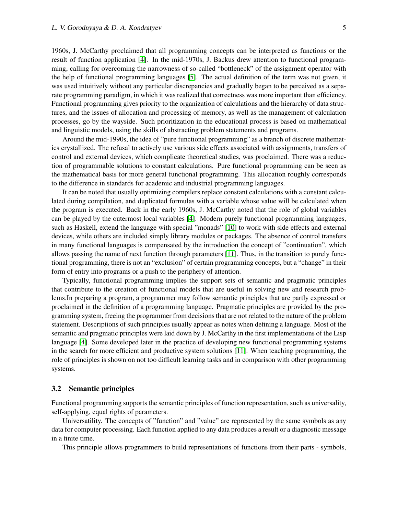1960s, J. McCarthy proclaimed that all programming concepts can be interpreted as functions or the result of function application [\[4\]](#page-13-3). In the mid-1970s, J. Backus drew attention to functional programming, calling for overcoming the narrowness of so-called "bottleneck" of the assignment operator with the help of functional programming languages [\[5\]](#page-13-4). The actual definition of the term was not given, it was used intuitively without any particular discrepancies and gradually began to be perceived as a separate programming paradigm, in which it was realized that correctness was more important than efficiency. Functional programming gives priority to the organization of calculations and the hierarchy of data structures, and the issues of allocation and processing of memory, as well as the management of calculation processes, go by the wayside. Such prioritization in the educational process is based on mathematical and linguistic models, using the skills of abstracting problem statements and programs.

Around the mid-1990s, the idea of "pure functional programming" as a branch of discrete mathematics crystallized. The refusal to actively use various side effects associated with assignments, transfers of control and external devices, which complicate theoretical studies, was proclaimed. There was a reduction of programmable solutions to constant calculations. Pure functional programming can be seen as the mathematical basis for more general functional programming. This allocation roughly corresponds to the difference in standards for academic and industrial programming languages.

It can be noted that usually optimizing compilers replace constant calculations with a constant calculated during compilation, and duplicated formulas with a variable whose value will be calculated when the program is executed. Back in the early 1960s, J. McCarthy noted that the role of global variables can be played by the outermost local variables [\[4\]](#page-13-3). Modern purely functional programming languages, such as Haskell, extend the language with special "monads" [\[10\]](#page-14-2) to work with side effects and external devices, while others are included simply library modules or packages. The absence of control transfers in many functional languages is compensated by the introduction the concept of "continuation", which allows passing the name of next function through parameters [\[11\]](#page-14-3). Thus, in the transition to purely functional programming, there is not an "exclusion" of certain programming concepts, but a "change" in their form of entry into programs or a push to the periphery of attention.

Typically, functional programming implies the support sets of semantic and pragmatic principles that contribute to the creation of functional models that are useful in solving new and research problems.In preparing a program, a programmer may follow semantic principles that are partly expressed or proclaimed in the definition of a programming language. Pragmatic principles are provided by the programming system, freeing the programmer from decisions that are not related to the nature of the problem statement. Descriptions of such principles usually appear as notes when defining a language. Most of the semantic and pragmatic principles were laid down by J. McCarthy in the first implementations of the Lisp language [\[4\]](#page-13-3). Some developed later in the practice of developing new functional programming systems in the search for more efficient and productive system solutions [\[11\]](#page-14-3). When teaching programming, the role of principles is shown on not too difficult learning tasks and in comparison with other programming systems.

#### 3.2 Semantic principles

Functional programming supports the semantic principles of function representation, such as universality, self-applying, equal rights of parameters.

Universatility. The concepts of "function" and "value" are represented by the same symbols as any data for computer processing. Each function applied to any data produces a result or a diagnostic message in a finite time.

This principle allows programmers to build representations of functions from their parts - symbols,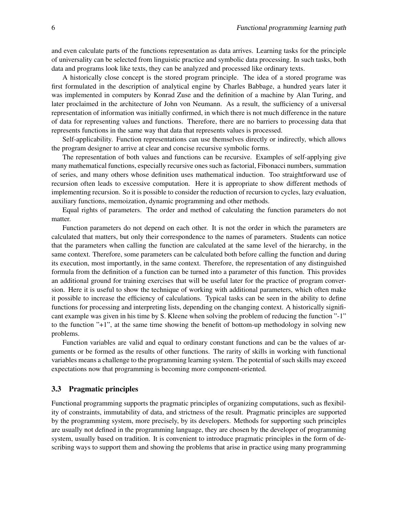and even calculate parts of the functions representation as data arrives. Learning tasks for the principle of universality can be selected from linguistic practice and symbolic data processing. In such tasks, both data and programs look like texts, they can be analyzed and processed like ordinary texts.

A historically close concept is the stored program principle. The idea of a stored programe was first formulated in the description of analytical engine by Charles Babbage, a hundred years later it was implemented in computers by Konrad Zuse and the definition of a machine by Alan Turing, and later proclaimed in the architecture of John von Neumann. As a result, the sufficiency of a universal representation of information was initially confirmed, in which there is not much difference in the nature of data for representing values and functions. Therefore, there are no barriers to processing data that represents functions in the same way that data that represents values is processed.

Self-applicability. Function representations can use themselves directly or indirectly, which allows the program designer to arrive at clear and concise recursive symbolic forms.

The representation of both values and functions can be recursive. Examples of self-applying give many mathematical functions, especially recursive ones such as factorial, Fibonacci numbers, summation of series, and many others whose definition uses mathematical induction. Too straightforward use of recursion often leads to excessive computation. Here it is appropriate to show different methods of implementing recursion. So it is possible to consider the reduction of recursion to cycles, lazy evaluation, auxiliary functions, memoization, dynamic programming and other methods.

Equal rights of parameters. The order and method of calculating the function parameters do not matter.

Function parameters do not depend on each other. It is not the order in which the parameters are calculated that matters, but only their correspondence to the names of parameters. Students can notice that the parameters when calling the function are calculated at the same level of the hierarchy, in the same context. Therefore, some parameters can be calculated both before calling the function and during its execution, most importantly, in the same context. Therefore, the representation of any distinguished formula from the definition of a function can be turned into a parameter of this function. This provides an additional ground for training exercises that will be useful later for the practice of program conversion. Here it is useful to show the technique of working with additional parameters, which often make it possible to increase the efficiency of calculations. Typical tasks can be seen in the ability to define functions for processing and interpreting lists, depending on the changing context. A historically significant example was given in his time by S. Kleene when solving the problem of reducing the function "-1" to the function "+1", at the same time showing the benefit of bottom-up methodology in solving new problems.

Function variables are valid and equal to ordinary constant functions and can be the values of arguments or be formed as the results of other functions. The rarity of skills in working with functional variables means a challenge to the programming learning system. The potential of such skills may exceed expectations now that programming is becoming more component-oriented.

#### 3.3 Pragmatic principles

Functional programming supports the pragmatic principles of organizing computations, such as flexibility of constraints, immutability of data, and strictness of the result. Pragmatic principles are supported by the programming system, more precisely, by its developers. Methods for supporting such principles are usually not defined in the programming language, they are chosen by the developer of programming system, usually based on tradition. It is convenient to introduce pragmatic principles in the form of describing ways to support them and showing the problems that arise in practice using many programming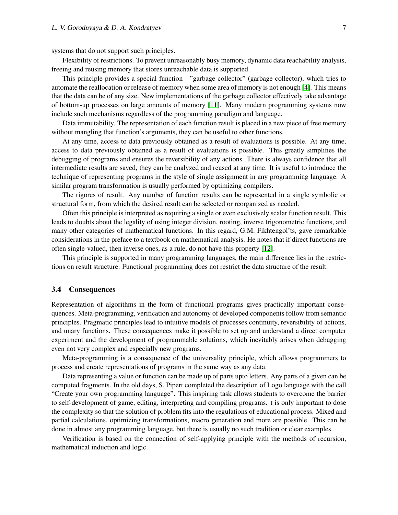systems that do not support such principles.

Flexibility of restrictions. To prevent unreasonably busy memory, dynamic data reachability analysis, freeing and reusing memory that stores unreachable data is supported.

This principle provides a special function - "garbage collector" (garbage collector), which tries to automate the reallocation or release of memory when some area of memory is not enough [\[4\]](#page-13-3). This means that the data can be of any size. New implementations of the garbage collector effectively take advantage of bottom-up processes on large amounts of memory [\[11\]](#page-14-3). Many modern programming systems now include such mechanisms regardless of the programming paradigm and language.

Data immutability. The representation of each function result is placed in a new piece of free memory without mangling that function's arguments, they can be useful to other functions.

At any time, access to data previously obtained as a result of evaluations is possible. At any time, access to data previously obtained as a result of evaluations is possible. This greatly simplifies the debugging of programs and ensures the reversibility of any actions. There is always confidence that all intermediate results are saved, they can be analyzed and reused at any time. It is useful to introduce the technique of representing programs in the style of single assignment in any programming language. A similar program transformation is usually performed by optimizing compilers.

The rigores of result. Any number of function results can be represented in a single symbolic or structural form, from which the desired result can be selected or reorganized as needed.

Often this principle is interpreted as requiring a single or even exclusively scalar function result. This leads to doubts about the legality of using integer division, rooting, inverse trigonometric functions, and many other categories of mathematical functions. In this regard, G.M. Fikhtengol'ts, gave remarkable considerations in the preface to a textbook on mathematical analysis. He notes that if direct functions are often single-valued, then inverse ones, as a rule, do not have this property [\[12\]](#page-14-4).

This principle is supported in many programming languages, the main difference lies in the restrictions on result structure. Functional programming does not restrict the data structure of the result.

#### 3.4 Consequences

Representation of algorithms in the form of functional programs gives practically important consequences. Meta-programming, verification and autonomy of developed components follow from semantic principles. Pragmatic principles lead to intuitive models of processes continuity, reversibility of actions, and unary functions. These consequences make it possible to set up and understand a direct computer experiment and the development of programmable solutions, which inevitably arises when debugging even not very complex and especially new programs.

Meta-programming is a consequence of the universality principle, which allows programmers to process and create representations of programs in the same way as any data.

Data representing a value or function can be made up of parts upto letters. Any parts of a given can be computed fragments. In the old days, S. Pipert completed the description of Logo language with the call "Create your own programming language". This inspiring task allows students to overcome the barrier to self-development of game, editing, interpreting and compiling programs. t is only important to dose the complexity so that the solution of problem fits into the regulations of educational process. Mixed and partial calculations, optimizing transformations, macro generation and more are possible. This can be done in almost any programming language, but there is usually no such tradition or clear examples.

Verification is based on the connection of self-applying principle with the methods of recursion, mathematical induction and logic.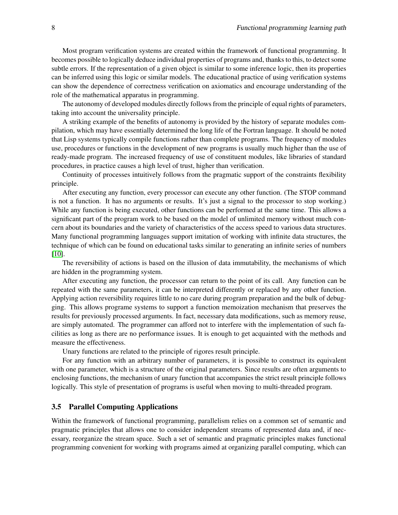Most program verification systems are created within the framework of functional programming. It becomes possible to logically deduce individual properties of programs and, thanks to this, to detect some subtle errors. If the representation of a given object is similar to some inference logic, then its properties can be inferred using this logic or similar models. The educational practice of using verification systems can show the dependence of correctness verification on axiomatics and encourage understanding of the role of the mathematical apparatus in programming.

The autonomy of developed modules directly follows from the principle of equal rights of parameters, taking into account the universality principle.

A striking example of the benefits of autonomy is provided by the history of separate modules compilation, which may have essentially determined the long life of the Fortran language. It should be noted that Lisp systems typically compile functions rather than complete programs. The frequency of modules use, procedures or functions in the development of new programs is usually much higher than the use of ready-made program. The increased frequency of use of constituent modules, like libraries of standard procedures, in practice causes a high level of trust, higher than verification.

Continuity of processes intuitively follows from the pragmatic support of the constraints flexibility principle.

After executing any function, every processor can execute any other function. (The STOP command is not a function. It has no arguments or results. It's just a signal to the processor to stop working.) While any function is being executed, other functions can be performed at the same time. This allows a significant part of the program work to be based on the model of unlimited memory without much concern about its boundaries and the variety of characteristics of the access speed to various data structures. Many functional programming languages support imitation of working with infinite data structures, the technique of which can be found on educational tasks similar to generating an infinite series of numbers [\[10\]](#page-14-2).

The reversibility of actions is based on the illusion of data immutability, the mechanisms of which are hidden in the programming system.

After executing any function, the processor can return to the point of its call. Any function can be repeated with the same parameters, it can be interpreted differently or replaced by any other function. Applying action reversibility requires little to no care during program preparation and the bulk of debugging. This allows programe systems to support a function memoization mechanism that preserves the results for previously processed arguments. In fact, necessary data modifications, such as memory reuse, are simply automated. The programmer can afford not to interfere with the implementation of such facilities as long as there are no performance issues. It is enough to get acquainted with the methods and measure the effectiveness.

Unary functions are related to the principle of rigores result principle.

For any function with an arbitrary number of parameters, it is possible to construct its equivalent with one parameter, which is a structure of the original parameters. Since results are often arguments to enclosing functions, the mechanism of unary function that accompanies the strict result principle follows logically. This style of presentation of programs is useful when moving to multi-threaded program.

#### 3.5 Parallel Computing Applications

Within the framework of functional programming, parallelism relies on a common set of semantic and pragmatic principles that allows one to consider independent streams of represented data and, if necessary, reorganize the stream space. Such a set of semantic and pragmatic principles makes functional programming convenient for working with programs aimed at organizing parallel computing, which can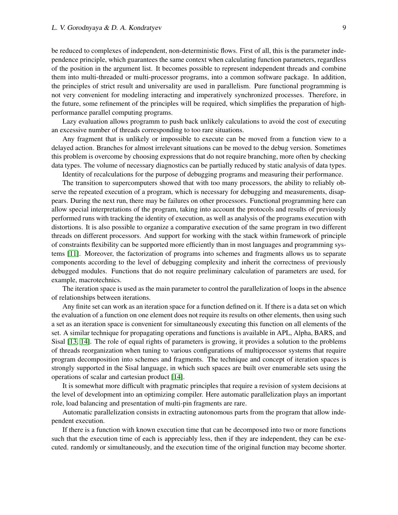be reduced to complexes of independent, non-deterministic flows. First of all, this is the parameter independence principle, which guarantees the same context when calculating function parameters, regardless of the position in the argument list. It becomes possible to represent independent threads and combine them into multi-threaded or multi-processor programs, into a common software package. In addition, the principles of strict result and universality are used in parallelism. Pure functional programming is not very convenient for modeling interacting and imperatively synchronized processes. Therefore, in the future, some refinement of the principles will be required, which simplifies the preparation of highperformance parallel computing programs.

Lazy evaluation allows programm to push back unlikely calculations to avoid the cost of executing an excessive number of threads corresponding to too rare situations.

Any fragment that is unlikely or impossible to execute can be moved from a function view to a delayed action. Branches for almost irrelevant situations can be moved to the debug version. Sometimes this problem is overcome by choosing expressions that do not require branching, more often by checking data types. The volume of necessary diagnostics can be partially reduced by static analysis of data types.

Identity of recalculations for the purpose of debugging programs and measuring their performance.

The transition to supercomputers showed that with too many processors, the ability to reliably observe the repeated execution of a program, which is necessary for debugging and measurements, disappears. During the next run, there may be failures on other processors. Functional programming here can allow special interpretations of the program, taking into account the protocols and results of previously performed runs with tracking the identity of execution, as well as analysis of the programs execution with distortions. It is also possible to organize a comparative execution of the same program in two different threads on different processors. And support for working with the stack within framework of principle of constraints flexibility can be supported more efficiently than in most languages and programming systems [\[11\]](#page-14-3). Moreover, the factorization of programs into schemes and fragments allows us to separate components according to the level of debugging complexity and inherit the correctness of previously debugged modules. Functions that do not require preliminary calculation of parameters are used, for example, macrotechnics.

The iteration space is used as the main parameter to control the parallelization of loops in the absence of relationships between iterations.

Any finite set can work as an iteration space for a function defined on it. If there is a data set on which the evaluation of a function on one element does not require its results on other elements, then using such a set as an iteration space is convenient for simultaneously executing this function on all elements of the set. A similar technique for propagating operations and functions is available in APL, Alpha, BARS, and Sisal [\[13,](#page-14-5) [14\]](#page-14-6). The role of equal rights of parameters is growing, it provides a solution to the problems of threads reorganization when tuning to various configurations of multiprocessor systems that require program decomposition into schemes and fragments. The technique and concept of iteration spaces is strongly supported in the Sisal language, in which such spaces are built over enumerable sets using the operations of scalar and cartesian product [\[14\]](#page-14-6).

It is somewhat more difficult with pragmatic principles that require a revision of system decisions at the level of development into an optimizing compiler. Here automatic parallelization plays an important role, load balancing and presentation of multi-pin fragments are rare.

Automatic parallelization consists in extracting autonomous parts from the program that allow independent execution.

If there is a function with known execution time that can be decomposed into two or more functions such that the execution time of each is appreciably less, then if they are independent, they can be executed. randomly or simultaneously, and the execution time of the original function may become shorter.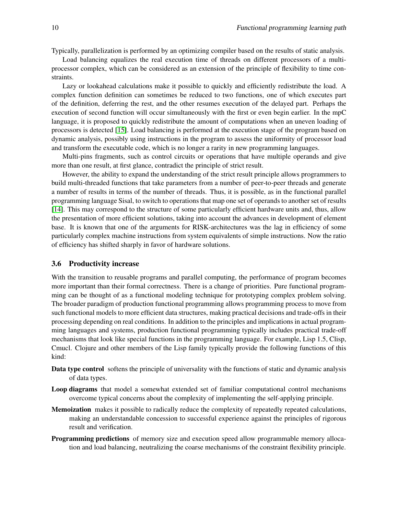Typically, parallelization is performed by an optimizing compiler based on the results of static analysis.

Load balancing equalizes the real execution time of threads on different processors of a multiprocessor complex, which can be considered as an extension of the principle of flexibility to time constraints.

Lazy or lookahead calculations make it possible to quickly and efficiently redistribute the load. A complex function definition can sometimes be reduced to two functions, one of which executes part of the definition, deferring the rest, and the other resumes execution of the delayed part. Perhaps the execution of second function will occur simultaneously with the first or even begin earlier. In the mpC language, it is proposed to quickly redistribute the amount of computations when an uneven loading of processors is detected [\[15\]](#page-14-7). Load balancing is performed at the execution stage of the program based on dynamic analysis, possibly using instructions in the program to assess the uniformity of processor load and transform the executable code, which is no longer a rarity in new programming languages.

Multi-pins fragments, such as control circuits or operations that have multiple operands and give more than one result, at first glance, contradict the principle of strict result.

However, the ability to expand the understanding of the strict result principle allows programmers to build multi-threaded functions that take parameters from a number of peer-to-peer threads and generate a number of results in terms of the number of threads. Thus, it is possible, as in the functional parallel programming language Sisal, to switch to operations that map one set of operands to another set of results [\[14\]](#page-14-6). This may correspond to the structure of some particularly efficient hardware units and, thus, allow the presentation of more efficient solutions, taking into account the advances in development of element base. It is known that one of the arguments for RISK-architectures was the lag in efficiency of some particularly complex machine instructions from system equivalents of simple instructions. Now the ratio of efficiency has shifted sharply in favor of hardware solutions.

#### 3.6 Productivity increase

With the transition to reusable programs and parallel computing, the performance of program becomes more important than their formal correctness. There is a change of priorities. Pure functional programming can be thought of as a functional modeling technique for prototyping complex problem solving. The broader paradigm of production functional programming allows programming process to move from such functional models to more efficient data structures, making practical decisions and trade-offs in their processing depending on real conditions. In addition to the principles and implications in actual programming languages and systems, production functional programming typically includes practical trade-off mechanisms that look like special functions in the programming language. For example, Lisp 1.5, Clisp, Cmucl. Clojure and other members of the Lisp family typically provide the following functions of this kind:

- Data type control softens the principle of universality with the functions of static and dynamic analysis of data types.
- Loop diagrams that model a somewhat extended set of familiar computational control mechanisms overcome typical concerns about the complexity of implementing the self-applying principle.
- Memoization makes it possible to radically reduce the complexity of repeatedly repeated calculations, making an understandable concession to successful experience against the principles of rigorous result and verification.
- Programming predictions of memory size and execution speed allow programmable memory allocation and load balancing, neutralizing the coarse mechanisms of the constraint flexibility principle.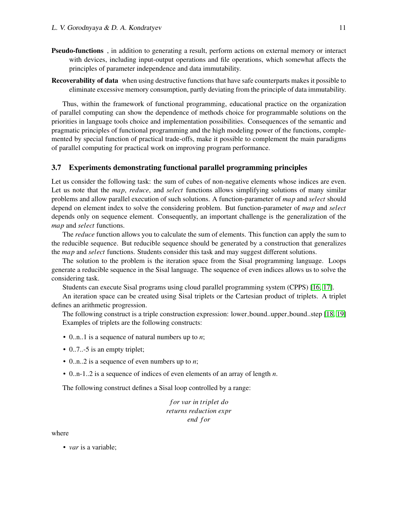- Pseudo-functions , in addition to generating a result, perform actions on external memory or interact with devices, including input-output operations and file operations, which somewhat affects the principles of parameter independence and data immutability.
- Recoverability of data when using destructive functions that have safe counterparts makes it possible to eliminate excessive memory consumption, partly deviating from the principle of data immutability.

Thus, within the framework of functional programming, educational practice on the organization of parallel computing can show the dependence of methods choice for programmable solutions on the priorities in language tools choice and implementation possibilities. Consequences of the semantic and pragmatic principles of functional programming and the high modeling power of the functions, complemented by special function of practical trade-offs, make it possible to complement the main paradigms of parallel computing for practical work on improving program performance.

#### 3.7 Experiments demonstrating functional parallel programming principles

Let us consider the following task: the sum of cubes of non-negative elements whose indices are even. Let us note that the *map*, *reduce*, and *select* functions allows simplifying solutions of many similar problems and allow parallel execution of such solutions. A function-parameter of *map* and *select* should depend on element index to solve the considering problem. But function-parameter of *map* and *select* depends only on sequence element. Consequently, an important challenge is the generalization of the *map* and *select* functions.

The *reduce* function allows you to calculate the sum of elements. This function can apply the sum to the reducible sequence. But reducible sequence should be generated by a construction that generalizes the *map* and *select* functions. Students consider this task and may suggest different solutions.

The solution to the problem is the iteration space from the Sisal programming language. Loops generate a reducible sequence in the Sisal language. The sequence of even indices allows us to solve the considering task.

Students can execute Sisal programs using cloud parallel programming system (CPPS) [\[16,](#page-14-8) [17\]](#page-14-9).

An iteration space can be created using Sisal triplets or the Cartesian product of triplets. A triplet defines an arithmetic progression.

The following construct is a triple construction expression: lower bound..upper bound..step [\[18,](#page-14-10) [19\]](#page-14-11) Examples of triplets are the following constructs:

- 0..n..1 is a sequence of natural numbers up to *n*;
- 0..7..-5 is an empty triplet;
- 0..n..2 is a sequence of even numbers up to *n*;
- 0..n-1..2 is a sequence of indices of even elements of an array of length *n*.

The following construct defines a Sisal loop controlled by a range:

*f or var in triplet do returns reduction expr end f or*

where

• *var* is a variable;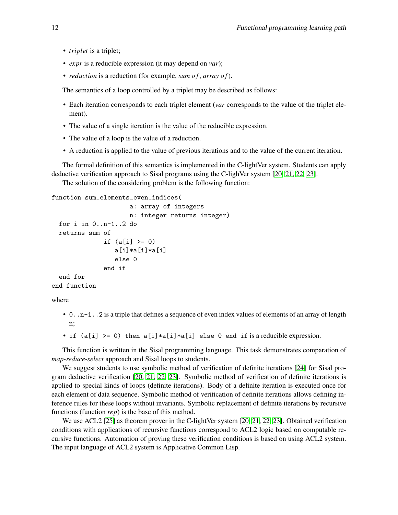- *triplet* is a triplet;
- *expr* is a reducible expression (it may depend on *var*);
- *reduction* is a reduction (for example, *sum of*, *array of*).

The semantics of a loop controlled by a triplet may be described as follows:

- Each iteration corresponds to each triplet element (*var* corresponds to the value of the triplet element).
- The value of a single iteration is the value of the reducible expression.
- The value of a loop is the value of a reduction.
- A reduction is applied to the value of previous iterations and to the value of the current iteration.

The formal definition of this semantics is implemented in the C-lightVer system. Students can apply deductive verification approach to Sisal programs using the C-lighVer system [\[20,](#page-14-12) [21,](#page-14-13) [22,](#page-14-14) [23\]](#page-14-15).

The solution of the considering problem is the following function:

```
function sum_elements_even_indices(
                     a: array of integers
                     n: integer returns integer)
  for i in 0..n-1..2 do
  returns sum of
              if (a[i] > = 0)a[i]*a[i]*a[i]
                 else 0
              end if
  end for
end function
```
where

- 0.  $n-1$ . 2 is a triple that defines a sequence of even index values of elements of an array of length n;
- if  $(a[i] \ge 0)$  then  $a[i]*a[i]*a[i]$  else 0 end if is a reducible expression.

This function is written in the Sisal programming language. This task demonstrates comparation of *map-reduce-select* approach and Sisal loops to students.

We suggest students to use symbolic method of verification of definite iterations [\[24\]](#page-14-16) for Sisal program deductive verification [\[20,](#page-14-12) [21,](#page-14-13) [22,](#page-14-14) [23\]](#page-14-15). Symbolic method of verification of definite iterations is applied to special kinds of loops (definite iterations). Body of a definite iteration is executed once for each element of data sequence. Symbolic method of verification of definite iterations allows defining inference rules for these loops without invariants. Symbolic replacement of definite iterations by recursive functions (function *rep*) is the base of this method.

We use ACL2 [\[25\]](#page-14-17) as theorem prover in the C-lightVer system [\[20,](#page-14-12) [21,](#page-14-13) [22,](#page-14-14) [23\]](#page-14-15). Obtained verification conditions with applications of recursive functions correspond to ACL2 logic based on computable recursive functions. Automation of proving these verification conditions is based on using ACL2 system. The input language of ACL2 system is Applicative Common Lisp.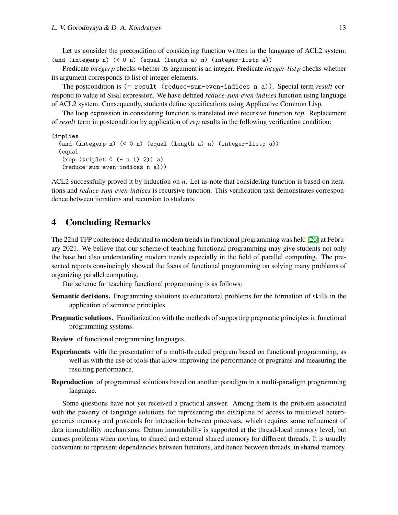Let us consider the precondition of considering function written in the language of ACL2 system: (and (integerp n) (< 0 n) (equal (length a) n) (integer-listp a))

Predicate *integerp* checks whether its argument is an integer. Predicate *integer*-*list p* checks whether its argument corresponds to list of integer elements.

The postcondition is (= result (reduce-sum-even-indices n a)). Special term *result* correspond to value of Sisal expression. We have defined *reduce*-*sum*-*even*-*indices* function using language of ACL2 system. Consequently, students define specifications using Applicative Common Lisp.

The loop expression in considering function is translated into recursive function *rep*. Replacement of *result* term in postcondition by application of *rep* results in the following verification condition:

```
(implies
  (and (integerp n) (< 0 n) (equal (length a) n) (integer-listp a))
  (equal
   (rep (triplet 0 (- n 1) 2)) a)
   (reduce-sum-even-indices n a)))
```
ACL2 successfully proved it by induction on *n*. Let us note that considering function is based on iterations and *reduce*-*sum*-*even*-*indices* is recursive function. This verification task demonstrates correspondence between iterations and recursion to students.

### 4 Concluding Remarks

The 22nd TFP conference dedicated to modern trends in functional programming was held [\[26\]](#page-14-18) at February 2021. We believe that our scheme of teaching functional programming may give students not only the base but also understanding modern trends especially in the field of parallel computing. The presented reports convincingly showed the focus of functional programming on solving many problems of organizing parallel computing.

Our scheme for teaching functional programming is as follows:

- Semantic decisions. Programming solutions to educational problems for the formation of skills in the application of semantic principles.
- Pragmatic solutions. Familiarization with the methods of supporting pragmatic principles in functional programming systems.
- Review of functional programming languages.
- Experiments with the presentation of a multi-threaded program based on functional programming, as well as with the use of tools that allow improving the performance of programs and measuring the resulting performance.
- Reproduction of programmed solutions based on another paradigm in a multi-paradigm programming language.

Some questions have not yet received a practical answer. Among them is the problem associated with the poverty of language solutions for representing the discipline of access to multilevel heterogeneous memory and protocols for interaction between processes, which requires some refinement of data immutability mechanisms. Datum immutability is supported at the thread-local memory level, but causes problems when moving to shared and external shared memory for different threads. It is usually convenient to represent dependencies between functions, and hence between threads, in shared memory.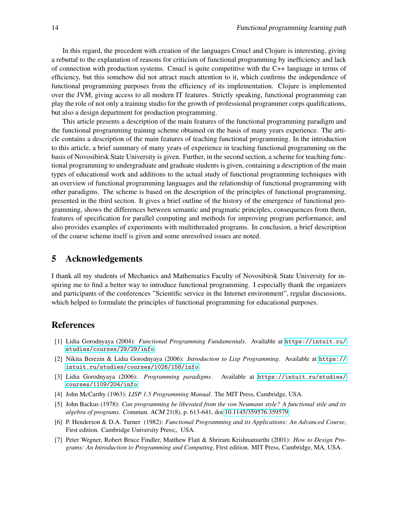In this regard, the precedent with creation of the languages Cmucl and Clojure is interesting, giving a rebuttal to the explanation of reasons for criticism of functional programming by inefficiency and lack of connection with production systems. Cmucl is quite competitive with the C++ language in terms of efficiency, but this somehow did not attract much attention to it, which confirms the independence of functional programming purposes from the efficiency of its implementation. Clojure is implemented over the JVM, giving access to all modern IT features. Strictly speaking, functional programming can play the role of not only a training studio for the growth of professional programmer corps qualifications, but also a design department for production programming.

This article presents a description of the main features of the functional programming paradigm and the functional programming training scheme obtained on the basis of many years experience. The article contains a description of the main features of teaching functional programming. In the introduction to this article, a brief summary of many years of experience in teaching functional programming on the basis of Novosibirsk State University is given. Further, in the second section, a scheme for teaching functional programming to undergraduate and graduate students is given, containing a description of the main types of educational work and additions to the actual study of functional programming techniques with an overview of functional programming languages and the relationship of functional programming with other paradigms. The scheme is based on the description of the principles of functional programming, presented in the third section. It gives a brief outline of the history of the emergence of functional programming, shows the differences between semantic and pragmatic principles, consequences from them, features of specification for parallel computing and methods for improving program performance, and also provides examples of experiments with multithreaded programs. In conclusion, a brief description of the course scheme itself is given and some unresolved issues are noted.

# 5 Acknowledgements

I thank all my students of Mechanics and Mathematics Faculty of Novosibirsk State University for inspiring me to find a better way to introduce functional programming. I especially thank the organizers and participants of the conferences "Scientific service in the Internet environment", regular discussions, which helped to formulate the principles of functional programming for educational purposes.

### References

- <span id="page-13-0"></span>[1] Lidia Gorodnyaya (2004): *Functional Programming Fundamentals*. Available at [https://intuit.ru/](https://intuit.ru/studies/courses/29/29/info) [studies/courses/29/29/info](https://intuit.ru/studies/courses/29/29/info).
- <span id="page-13-1"></span>[2] Nikita Berezin & Lidia Gorodnyaya (2006): *Introduction to Lisp Programming*. Available at [https://](https://intuit.ru/studies/courses/1026/158/info) [intuit.ru/studies/courses/1026/158/info](https://intuit.ru/studies/courses/1026/158/info).
- <span id="page-13-2"></span>[3] Lidia Gorodnyaya (2006): *Programming paradigms*. Available at [https://intuit.ru/studies/](https://intuit.ru/studies/courses/1109/204/info) [courses/1109/204/info](https://intuit.ru/studies/courses/1109/204/info).
- <span id="page-13-3"></span>[4] John McCarthy (1963): *LISP 1.5 Programming Manual*. The MIT Press, Cambridge, USA.
- <span id="page-13-4"></span>[5] John Backus (1978): *Can programming be liberated from the von Neumann style? A functional stile and its algebra of programs*. Commun. ACM 21(8), p. 613-641, doi[:10.1145/359576.359579.](http://dx.doi.org/10.1145/359576.359579)
- <span id="page-13-5"></span>[6] P. Henderson & D.A. Turner (1982): *Functional Programming and its Applications: An Advanced Course*, First edition. Cambridge University Press;, USA.
- <span id="page-13-6"></span>[7] Peter Wegner, Robert Bruce Findler, Matthew Flatt & Shriram Krishnamurthi (2001): *How to Design Programs: An Introduction to Programming and Computing*, First edition. MIT Press, Cambridge, MA, USA.